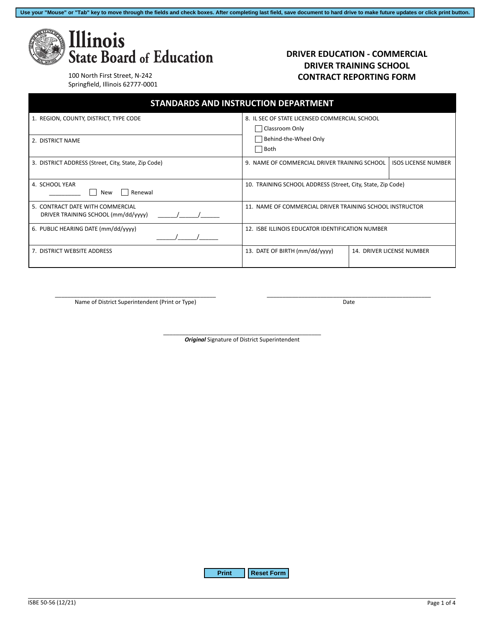**Use your "Mouse" or "Tab" key to move through the fields and check boxes. After completing last field, save document to hard drive to make future updates or click print button.**



#### **DRIVER EDUCATION - COMMERCIAL DRIVER TRAINING SCHOOL CONTRACT REPORTING FORM**

100 North First Street, N-242 Springfield, Illinois 62777-0001

| <b>STANDARDS AND INSTRUCTION DEPARTMENT</b>                             |                                                                                                    |  |                            |
|-------------------------------------------------------------------------|----------------------------------------------------------------------------------------------------|--|----------------------------|
| 1. REGION, COUNTY, DISTRICT, TYPE CODE                                  | 8. IL SEC OF STATE LICENSED COMMERCIAL SCHOOL<br>Classroom Only<br>Behind-the-Wheel Only<br>  Both |  |                            |
| 2. DISTRICT NAME                                                        |                                                                                                    |  |                            |
| 3. DISTRICT ADDRESS (Street, City, State, Zip Code)                     | 9. NAME OF COMMERCIAL DRIVER TRAINING SCHOOL                                                       |  | <b>ISOS LICENSE NUMBER</b> |
| 4. SCHOOL YEAR<br>Renewal<br>New                                        | 10. TRAINING SCHOOL ADDRESS (Street, City, State, Zip Code)                                        |  |                            |
| 5. CONTRACT DATE WITH COMMERCIAL<br>DRIVER TRAINING SCHOOL (mm/dd/yyyy) | 11. NAME OF COMMERCIAL DRIVER TRAINING SCHOOL INSTRUCTOR                                           |  |                            |
| 6. PUBLIC HEARING DATE (mm/dd/yyyy)                                     | 12. ISBE ILLINOIS EDUCATOR IDENTIFICATION NUMBER                                                   |  |                            |
| 7. DISTRICT WEBSITE ADDRESS                                             | 13. DATE OF BIRTH (mm/dd/yyyy)                                                                     |  | 14. DRIVER LICENSE NUMBER  |

\_\_\_\_\_\_\_\_\_\_\_\_\_\_\_\_\_\_\_\_\_\_\_\_\_\_\_\_\_\_\_\_\_\_\_\_\_\_\_\_\_\_\_\_\_\_\_\_\_\_\_ Name of District Superintendent (Print or Type)

\_\_\_\_\_\_\_\_\_\_\_\_\_\_\_\_\_\_\_\_\_\_\_\_\_\_\_\_\_\_\_\_\_\_\_\_\_\_\_\_\_\_\_\_\_\_\_\_\_\_\_\_ Date

\_\_\_\_\_\_\_\_\_\_\_\_\_\_\_\_\_\_\_\_\_\_\_\_\_\_\_\_\_\_\_\_\_\_\_\_\_\_\_\_\_\_\_\_\_\_\_\_\_\_ *Original* Signature of District Superintendent

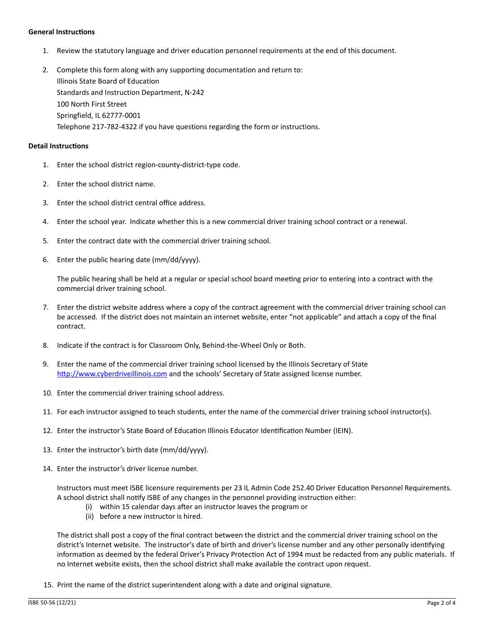#### **General Instructions**

- 1. Review the statutory language and driver education personnel requirements at the end of this document.
- 2. Complete this form along with any supporting documentation and return to: Illinois State Board of Education Standards and Instruction Department, N-242 100 North First Street Springfield, IL 62777-0001 Telephone 217-782-4322 if you have questions regarding the form or instructions.

#### **Detail Instructions**

- 1. Enter the school district region-county-district-type code.
- 2. Enter the school district name.
- 3. Enter the school district central office address.
- 4. Enter the school year. Indicate whether this is a new commercial driver training school contract or a renewal.
- 5. Enter the contract date with the commercial driver training school.
- 6. Enter the public hearing date (mm/dd/yyyy).

The public hearing shall be held at a regular or special school board meeting prior to entering into a contract with the commercial driver training school.

- 7. Enter the district website address where a copy of the contract agreement with the commercial driver training school can be accessed. If the district does not maintain an internet website, enter "not applicable" and attach a copy of the final contract.
- 8. Indicate if the contract is for Classroom Only, Behind-the-Wheel Only or Both.
- 9. Enter the name of the commercial driver training school licensed by the Illinois Secretary of State http://www.cyberdriveillinois.com and the schools' Secretary of State assigned license number.
- 10. Enter the commercial driver training school address.
- 11. For each instructor assigned to teach students, enter the name of the commercial driver training school instructor(s).
- 12. Enter the instructor's State Board of Education Illinois Educator Identification Number (IEIN).
- 13. Enter the instructor's birth date (mm/dd/yyyy).
- 14. Enter the instructor's driver license number.

Instructors must meet ISBE licensure requirements per 23 IL Admin Code 252.40 Driver Education Personnel Requirements. A school district shall notify ISBE of any changes in the personnel providing instruction either:

- (i) within 15 calendar days after an instructor leaves the program or
- (ii) before a new instructor is hired.

The district shall post a copy of the final contract between the district and the commercial driver training school on the district's Internet website. The instructor's date of birth and driver's license number and any other personally identifying information as deemed by the federal Driver's Privacy Protection Act of 1994 must be redacted from any public materials. If no Internet website exists, then the school district shall make available the contract upon request.

15. Print the name of the district superintendent along with a date and original signature.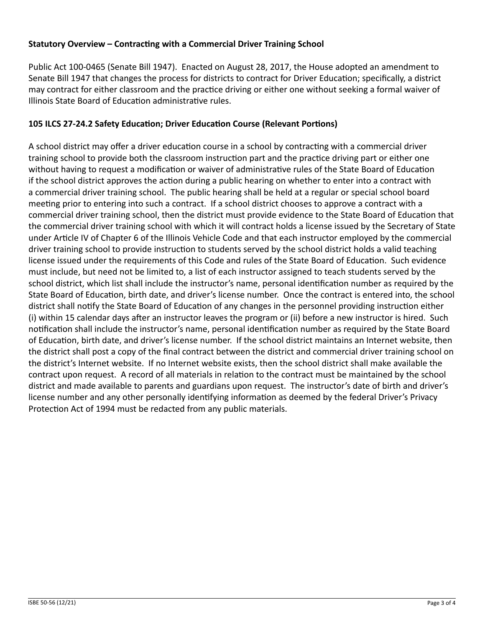# **Statutory Overview – Contracting with a Commercial Driver Training School**

Public Act 100-0465 (Senate Bill 1947). Enacted on August 28, 2017, the House adopted an amendment to Senate Bill 1947 that changes the process for districts to contract for Driver Education; specifically, a district may contract for either classroom and the practice driving or either one without seeking a formal waiver of Illinois State Board of Education administrative rules.

# **105 ILCS 27-24.2 Safety Education; Driver Education Course (Relevant Portions)**

A school district may offer a driver education course in a school by contracting with a commercial driver training school to provide both the classroom instruction part and the practice driving part or either one without having to request a modification or waiver of administrative rules of the State Board of Education if the school district approves the action during a public hearing on whether to enter into a contract with a commercial driver training school. The public hearing shall be held at a regular or special school board meeting prior to entering into such a contract. If a school district chooses to approve a contract with a commercial driver training school, then the district must provide evidence to the State Board of Education that the commercial driver training school with which it will contract holds a license issued by the Secretary of State under Article IV of Chapter 6 of the Illinois Vehicle Code and that each instructor employed by the commercial driver training school to provide instruction to students served by the school district holds a valid teaching license issued under the requirements of this Code and rules of the State Board of Education. Such evidence must include, but need not be limited to, a list of each instructor assigned to teach students served by the school district, which list shall include the instructor's name, personal identification number as required by the State Board of Education, birth date, and driver's license number. Once the contract is entered into, the school district shall notify the State Board of Education of any changes in the personnel providing instruction either (i) within 15 calendar days after an instructor leaves the program or (ii) before a new instructor is hired. Such notification shall include the instructor's name, personal identification number as required by the State Board of Education, birth date, and driver's license number. If the school district maintains an Internet website, then the district shall post a copy of the final contract between the district and commercial driver training school on the district's Internet website. If no Internet website exists, then the school district shall make available the contract upon request. A record of all materials in relation to the contract must be maintained by the school district and made available to parents and guardians upon request. The instructor's date of birth and driver's license number and any other personally identifying information as deemed by the federal Driver's Privacy Protection Act of 1994 must be redacted from any public materials.